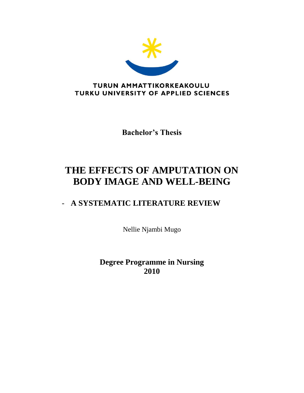

**Bachelor's Thesis**

# **THE EFFECTS OF AMPUTATION ON BODY IMAGE AND WELL-BEING**

# - **A SYSTEMATIC LITERATURE REVIEW**

Nellie Njambi Mugo

**Degree Programme in Nursing 2010**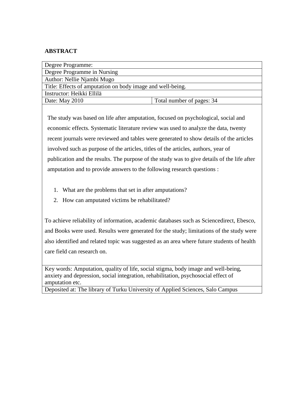# **ABSTRACT**

| Degree Programme:                                          |  |  |  |  |
|------------------------------------------------------------|--|--|--|--|
| Degree Programme in Nursing                                |  |  |  |  |
| Author: Nellie Njambi Mugo                                 |  |  |  |  |
| Title: Effects of amputation on body image and well-being. |  |  |  |  |
| Instructor: Heikki Ellilä                                  |  |  |  |  |
| Total number of pages: 34                                  |  |  |  |  |
|                                                            |  |  |  |  |

The study was based on life after amputation, focused on psychological, social and economic effects. Systematic literature review was used to analyze the data, twenty recent journals were reviewed and tables were generated to show details of the articles involved such as purpose of the articles, titles of the articles, authors, year of publication and the results. The purpose of the study was to give details of the life after amputation and to provide answers to the following research questions :

- 1. What are the problems that set in after amputations?
- 2. How can amputated victims be rehabilitated?

To achieve reliability of information, academic databases such as Sciencedirect, Ebesco, and Books were used. Results were generated for the study; limitations of the study were also identified and related topic was suggested as an area where future students of health care field can research on.

Key words: Amputation, quality of life, social stigma, body image and well-being, anxiety and depression, social integration, rehabilitation, psychosocial effect of amputation etc.

Deposited at: The library of Turku University of Applied Sciences, Salo Campus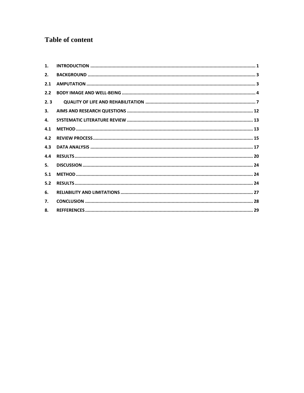# **Table of content**

| 1.  |  |
|-----|--|
| 2.  |  |
| 2.1 |  |
| 2.2 |  |
| 2.3 |  |
| 3.  |  |
| 4.  |  |
| 4.1 |  |
| 4.2 |  |
| 4.3 |  |
| 4.4 |  |
| 5.  |  |
| 5.1 |  |
| 5.2 |  |
| 6.  |  |
| 7.  |  |
| 8.  |  |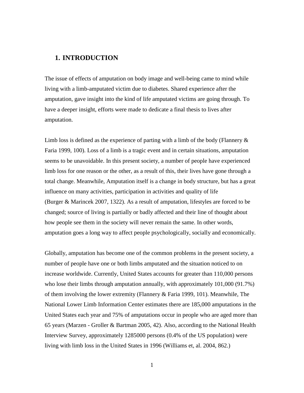# <span id="page-3-0"></span>**1. INTRODUCTION**

The issue of effects of amputation on body image and well-being came to mind while living with a limb-amputated victim due to diabetes. Shared experience after the amputation, gave insight into the kind of life amputated victims are going through. To have a deeper insight, efforts were made to dedicate a final thesis to lives after amputation.

Limb loss is defined as the experience of parting with a limb of the body (Flannery  $\&$ Faria 1999, 100). Loss of a limb is a tragic event and in certain situations, amputation seems to be unavoidable. In this present society, a number of people have experienced limb loss for one reason or the other, as a result of this, their lives have gone through a total change. Meanwhile, Amputation itself is a change in body structure, but has a great influence on many activities, participation in activities and quality of life (Burger & Marincek 2007, 1322). As a result of amputation, lifestyles are forced to be changed; source of living is partially or badly affected and their line of thought about how people see them in the society will never remain the same. In other words, amputation goes a long way to affect people psychologically, socially and economically.

Globally, amputation has become one of the common problems in the present society, a number of people have one or both limbs amputated and the situation noticed to on increase worldwide. Currently, United States accounts for greater than 110,000 persons who lose their limbs through amputation annually, with approximately 101,000 (91.7%) of them involving the lower extremity (Flannery & Faria 1999, 101). Meanwhile, The National Lower Limb Information Center estimates there are 185,000 amputations in the United States each year and 75% of amputations occur in people who are aged more than 65 years (Marzen - Groller & Bartman 2005, 42). Also, according to the National Health Interview Survey, approximately 1285000 persons (0.4% of the US population) were living with limb loss in the United States in 1996 (Williams et, al. 2004, 862.)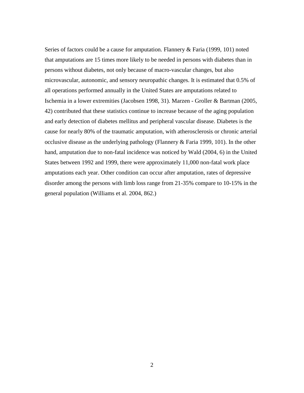Series of factors could be a cause for amputation. Flannery & Faria (1999, 101) noted that amputations are 15 times more likely to be needed in persons with diabetes than in persons without diabetes, not only because of macro-vascular changes, but also microvascular, autonomic, and sensory neuropathic changes. It is estimated that 0.5% of all operations performed annually in the United States are amputations related to Ischemia in a lower extremities (Jacobsen 1998, 31). Marzen - Groller & Bartman (2005, 42) contributed that these statistics continue to increase because of the aging population and early detection of diabetes mellitus and peripheral vascular disease. Diabetes is the cause for nearly 80% of the traumatic amputation, with atherosclerosis or chronic arterial occlusive disease as the underlying pathology (Flannery & Faria 1999, 101). In the other hand, amputation due to non-fatal incidence was noticed by Wald (2004, 6) in the United States between 1992 and 1999, there were approximately 11,000 non-fatal work place amputations each year. Other condition can occur after amputation, rates of depressive disorder among the persons with limb loss range from 21-35% compare to 10-15% in the general population (Williams et al. 2004, 862.)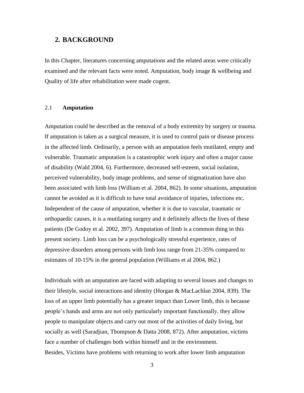### <span id="page-5-0"></span>**2. BACKGROUND**

In this Chapter, literatures concerning amputations and the related areas were critically examined and the relevant facts were noted. Amputation, body image & wellbeing and Quality of life after rehabilitation were made cogent.

# <span id="page-5-1"></span>2.1 **Amputation**

Amputation could be described as the removal of a body extremity by surgery or trauma. If amputation is taken as a surgical measure, it is used to control pain or disease process in the affected limb. Ordinarily, a person with an amputation feels mutilated, empty and vulnerable. Traumatic amputation is a catastrophic work injury and often a major cause of disability (Wald 2004, 6). Furthermore, decreased self-esteem, social isolation, perceived vulnerability, body image problems, and sense of stigmatization have also been associated with limb loss (William et al. 2004, 862). In some situations, amputation cannot be avoided as it is difficult to have total avoidance of injuries, infections etc. Independent of the cause of amputation, whether it is due to vascular, traumatic or orthopaedic causes, it is a mutilating surgery and it definitely affects the lives of these patients (De Godoy et al. 2002, 397). Amputation of limb is a common thing in this present society. Limb loss can be a psychologically stressful experience, rates of depressive disorders among persons with limb loss range from 21-35% compared to estimates of 10-15% in the general population (Williams et al 2004, 862.)

Individuals with an amputation are faced with adapting to several losses and changes to their lifestyle, social interactions and identity (Horgan & MacLachlan 2004, 839). The loss of an upper limb potentially has a greater impact than Lower limb, this is because people's hands and arms are not only particularly important functionally, they allow people to manipulate objects and carry out most of the activities of daily living, but socially as well (Saradjian, Thompson & Datta 2008, 872). After amputation, victims face a number of challenges both within himself and in the environment. Besides, Victims have problems with returning to work after lower limb amputation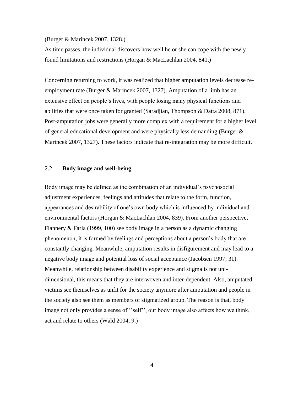#### (Burger & Marincek 2007, 1328.)

As time passes, the individual discovers how well he or she can cope with the newly found limitations and restrictions (Horgan & MacLachlan 2004, 841.)

Concerning returning to work, it was realized that higher amputation levels decrease reemployment rate (Burger & Marincek 2007, 1327). Amputation of a limb has an extensive effect on people's lives, with people losing many physical functions and abilities that were once taken for granted (Saradjian, Thompson & Datta 2008, 871). Post-amputation jobs were generally more complex with a requirement for a higher level of general educational development and were physically less demanding (Burger & Marincek 2007, 1327). These factors indicate that re-integration may be more difficult.

#### <span id="page-6-0"></span>2.2 **Body image and well-being**

Body image may be defined as the combination of an individual's psychosocial adjustment experiences, feelings and attitudes that relate to the form, function, appearances and desirability of one's own body which is influenced by individual and environmental factors (Horgan & MacLachlan 2004, 839). From another perspective, Flannery & Faria (1999, 100) see body image in a person as a dynamic changing phenomenon, it is formed by feelings and perceptions about a person's body that are constantly changing. Meanwhile, amputation results in disfigurement and may lead to a negative body image and potential loss of social acceptance (Jacobsen 1997, 31). Meanwhile, relationship between disability experience and stigma is not unidimensional, this means that they are interwoven and inter-dependent. Also, amputated victims see themselves as unfit for the society anymore after amputation and people in the society also see them as members of stigmatized group. The reason is that, body image not only provides a sense of ''self'', our body image also affects how we think, act and relate to others (Wald 2004, 9.)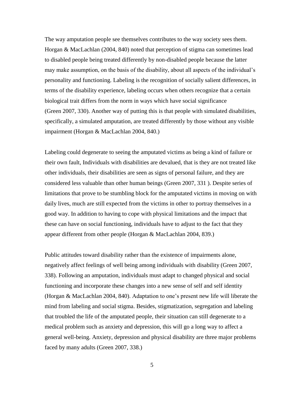The way amputation people see themselves contributes to the way society sees them. Horgan & MacLachlan (2004, 840) noted that perception of stigma can sometimes lead to disabled people being treated differently by non-disabled people because the latter may make assumption, on the basis of the disability, about all aspects of the individual's personality and functioning. Labeling is the recognition of socially salient differences, in terms of the disability experience, labeling occurs when others recognize that a certain biological trait differs from the norm in ways which have social significance (Green 2007, 330). Another way of putting this is that people with simulated disabilities, specifically, a simulated amputation, are treated differently by those without any visible impairment (Horgan & MacLachlan 2004, 840.)

Labeling could degenerate to seeing the amputated victims as being a kind of failure or their own fault, Individuals with disabilities are devalued, that is they are not treated like other individuals, their disabilities are seen as signs of personal failure, and they are considered less valuable than other human beings (Green 2007, 331 ). Despite series of limitations that prove to be stumbling block for the amputated victims in moving on with daily lives, much are still expected from the victims in other to portray themselves in a good way. In addition to having to cope with physical limitations and the impact that these can have on social functioning, individuals have to adjust to the fact that they appear different from other people (Horgan & MacLachlan 2004, 839.)

Public attitudes toward disability rather than the existence of impairments alone, negatively affect feelings of well being among individuals with disability (Green 2007, 338). Following an amputation, individuals must adapt to changed physical and social functioning and incorporate these changes into a new sense of self and self identity (Horgan & MacLachlan 2004, 840). Adaptation to one's present new life will liberate the mind from labeling and social stigma. Besides, stigmatization, segregation and labeling that troubled the life of the amputated people, their situation can still degenerate to a medical problem such as anxiety and depression, this will go a long way to affect a general well-being. Anxiety, depression and physical disability are three major problems faced by many adults (Green 2007, 338.)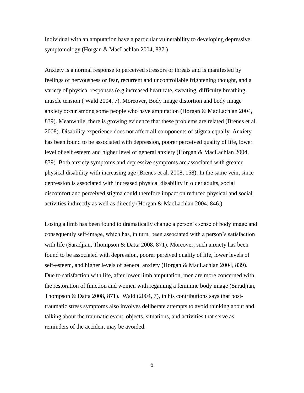Individual with an amputation have a particular vulnerability to developing depressive symptomology (Horgan & MacLachlan 2004, 837.)

Anxiety is a normal response to perceived stressors or threats and is manifested by feelings of nervousness or fear, recurrent and uncontrollable frightening thought, and a variety of physical responses (e.g increased heart rate, sweating, difficulty breathing, muscle tension ( Wald 2004, 7). Moreover, Body image distortion and body image anxiety occur among some people who have amputation (Horgan & MacLachlan 2004, 839). Meanwhile, there is growing evidence that these problems are related (Brenes et al. 2008). Disability experience does not affect all components of stigma equally. Anxiety has been found to be associated with depression, poorer perceived quality of life, lower level of self esteem and higher level of general anxiety (Horgan & MacLachlan 2004, 839). Both anxiety symptoms and depressive symptoms are associated with greater physical disability with increasing age (Brenes et al. 2008, 158). In the same vein, since depression is associated with increased physical disability in older adults, social discomfort and perceived stigma could therefore impact on reduced physical and social activities indirectly as well as directly (Horgan & MacLachlan 2004, 846.)

Losing a limb has been found to dramatically change a person's sense of body image and consequently self-image, which has, in turn, been associated with a person's satisfaction with life (Saradjian, Thompson & Datta 2008, 871). Moreover, such anxiety has been found to be associated with depression, poorer pereived quality of life, lower levels of self-esteem, and higher levels of general anxiety (Horgan & MacLachlan 2004, 839). Due to satisfaction with life, after lower limb amputation, men are more concerned with the restoration of function and women with regaining a feminine body image (Saradjian, Thompson & Datta 2008, 871). Wald  $(2004, 7)$ , in his contributions says that posttraumatic stress symptoms also involves deliberate attempts to avoid thinking about and talking about the traumatic event, objects, situations, and activities that serve as reminders of the accident may be avoided.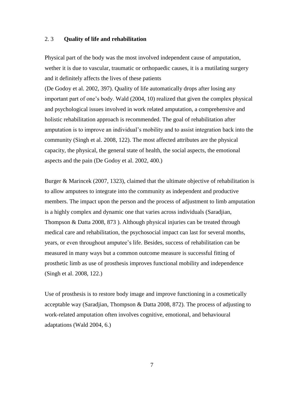#### <span id="page-9-0"></span>2. 3 **Quality of life and rehabilitation**

Physical part of the body was the most involved independent cause of amputation, wether it is due to vascular, traumatic or orthopaedic causes, it is a mutilating surgery and it definitely affects the lives of these patients

(De Godoy et al. 2002, 397). Quality of life automatically drops after losing any important part of one's body. Wald (2004, 10) realized that given the complex physical and psychological issues involved in work related amputation, a comprehensive and holistic rehabilitation approach is recommended. The goal of rehabilitation after amputation is to improve an individual's mobility and to assist integration back into the community (Singh et al. 2008, 122). The most affected attributes are the physical capacity, the physical, the general state of health, the social aspects, the emotional aspects and the pain (De Godoy et al. 2002, 400.)

Burger & Marincek (2007, 1323), claimed that the ultimate objective of rehabilitation is to allow amputees to integrate into the community as independent and productive members. The impact upon the person and the process of adjustment to limb amputation is a highly complex and dynamic one that varies across individuals (Saradjian, Thompson & Datta 2008, 873 ). Although physical injuries can be treated through medical care and rehabilitation, the psychosocial impact can last for several months, years, or even throughout amputee's life. Besides, success of rehabilitation can be measured in many ways but a common outcome measure is successful fitting of prosthetic limb as use of prosthesis improves functional mobility and independence (Singh et al. 2008, 122.)

Use of prosthesis is to restore body image and improve functioning in a cosmetically acceptable way (Saradjian, Thompson & Datta 2008, 872). The process of adjusting to work-related amputation often involves cognitive, emotional, and behavioural adaptations (Wald 2004, 6.)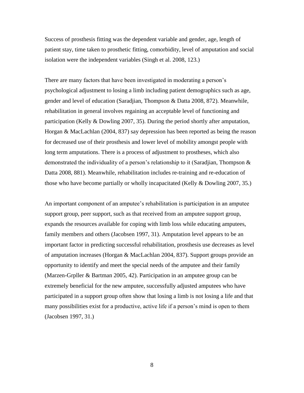Success of prosthesis fitting was the dependent variable and gender, age, length of patient stay, time taken to prosthetic fitting, comorbidity, level of amputation and social isolation were the independent variables (Singh et al. 2008, 123.)

There are many factors that have been investigated in moderating a person's psychological adjustment to losing a limb including patient demographics such as age, gender and level of education (Saradjian, Thompson & Datta 2008, 872). Meanwhile, rehabilitation in general involves regaining an acceptable level of functioning and participation (Kelly & Dowling 2007, 35). During the period shortly after amputation, Horgan & MacLachlan (2004, 837) say depression has been reported as being the reason for decreased use of their prosthesis and lower level of mobility amongst people with long term amputations. There is a process of adjustment to prostheses, which also demonstrated the individuality of a person's relationship to it (Saradjian, Thompson & Datta 2008, 881). Meanwhile, rehabilitation includes re-training and re-education of those who have become partially or wholly incapacitated (Kelly & Dowling 2007, 35.)

An important component of an amputee's rehabilitation is participation in an amputee support group, peer support, such as that received from an amputee support group, expands the resources available for coping with limb loss while educating amputees, family members and others (Jacobsen 1997, 31). Amputation level appears to be an important factor in predicting successful rehabilitation, prosthesis use decreases as level of amputation increases (Horgan & MacLachlan 2004, 837). Support groups provide an opportunity to identify and meet the special needs of the amputee and their family (Marzen-Grpller & Bartman 2005, 42). Participation in an amputee group can be extremely beneficial for the new amputee, successfully adjusted amputees who have participated in a support group often show that losing a limb is not losing a life and that many possibilities exist for a productive, active life if a person's mind is open to them (Jacobsen 1997, 31.)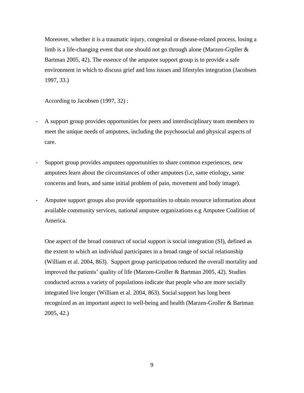Moreover, whether it is a traumatic injury, congenital or disease-related process, losing a limb is a life-changing event that one should not go through alone (Marzen-Grpller  $\&$ Bartman 2005, 42). The essence of the amputee support group is to provide a safe environment in which to discuss grief and loss issues and lifestyles integration (Jacobsen 1997, 33.)

According to Jacobsen (1997, 32) :

- A support group provides opportunities for peers and interdisciplinary team members to meet the unique needs of amputees, including the psychosocial and physical aspects of care.
- Support group provides amputees opportunities to share common experiences, new amputees learn about the circumstances of other amputees (i.e, same etiology, same concerns and fears, and same initial problem of pain, movement and body image).
- Amputee support groups also provide opportunities to obtain resource information about available community services, national amputee organizations e.g Amputee Coalition of America.

One aspect of the broad construct of social support is social integration (SI), defined as the extent to which an individual participates in a broad range of social relationship (William et al. 2004, 863). Support group participation reduced the overall mortality and improved the patients' quality of life (Marzen-Groller & Bartman 2005, 42). Studies conducted across a variety of populations indicate that people who are more socially integrated live longer (William et al. 2004, 863). Social support has long been recognized as an important aspect to well-being and health (Marzen-Groller & Bartman 2005, 42.)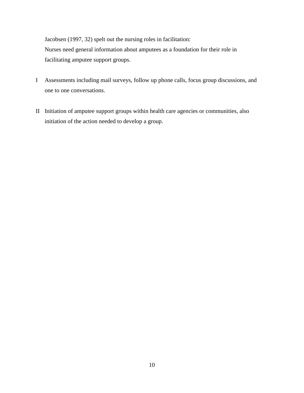Jacobsen (1997, 32) spelt out the nursing roles in facilitation: Nurses need general information about amputees as a foundation for their role in facilitating amputee support groups.

- I Assessments including mail surveys, follow up phone calls, focus group discussions, and one to one conversations.
- II Initiation of amputee support groups within health care agencies or communities, also initiation of the action needed to develop a group.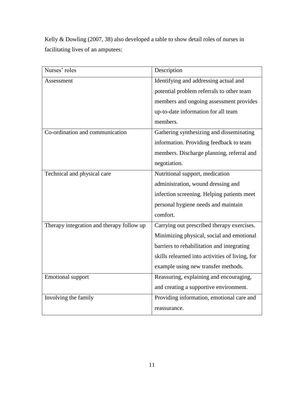Kelly & Dowling (2007, 38) also developed a table to show detail roles of nurses in facilitating lives of an amputees:

| Nurses' roles                             | Description                                     |  |
|-------------------------------------------|-------------------------------------------------|--|
| Assessment                                | Identifying and addressing actual and           |  |
|                                           | potential problem referrals to other team       |  |
|                                           | members and ongoing assessment provides         |  |
|                                           | up-to-date information for all team             |  |
|                                           | members.                                        |  |
| Co-ordination and communication           | Gathering synthesizing and disseminating        |  |
|                                           | information. Providing feedback to team         |  |
|                                           | members. Discharge planning, referral and       |  |
|                                           | negotiation.                                    |  |
| Technical and physical care               | Nutritional support, medication                 |  |
|                                           | administration, wound dressing and              |  |
|                                           | infection screening. Helping patients meet      |  |
|                                           | personal hygiene needs and maintain             |  |
|                                           | comfort.                                        |  |
| Therapy integration and therapy follow up | Carrying out prescribed therapy exercises.      |  |
|                                           | Minimizing physical, social and emotional       |  |
|                                           | barriers to rehabilitation and integrating      |  |
|                                           | skills relearned into activities of living, for |  |
|                                           | example using new transfer methods.             |  |
| Emotional support                         | Reassuring, explaining and encouraging,         |  |
|                                           | and creating a supportive environment.          |  |
| Involving the family                      | Providing information, emotional care and       |  |
|                                           | reassurance.                                    |  |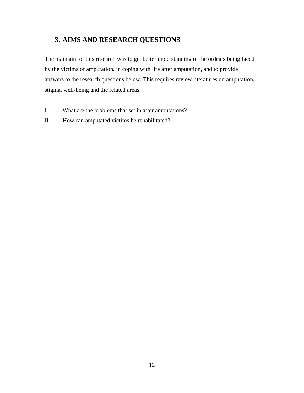# <span id="page-14-0"></span>**3. AIMS AND RESEARCH QUESTIONS**

The main aim of this research was to get better understanding of the ordeals being faced by the victims of amputation, in coping with life after amputation, and to provide answers to the research questions below. This requires review literatures on amputation, stigma, well-being and the related areas.

- I What are the problems that set in after amputations?
- II How can amputated victims be rehabilitated?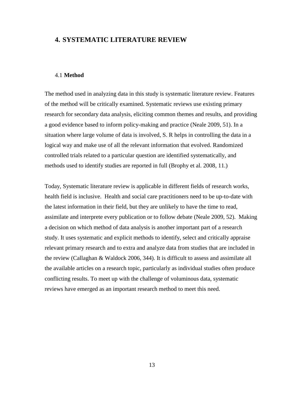# <span id="page-15-0"></span>**4. SYSTEMATIC LITERATURE REVIEW**

#### <span id="page-15-1"></span>4.1 **Method**

The method used in analyzing data in this study is systematic literature review. Features of the method will be critically examined. Systematic reviews use existing primary research for secondary data analysis, eliciting common themes and results, and providing a good evidence based to inform policy-making and practice (Neale 2009, 51). In a situation where large volume of data is involved, S. R helps in controlling the data in a logical way and make use of all the relevant information that evolved. Randomized controlled trials related to a particular question are identified systematically, and methods used to identify studies are reported in full (Brophy et al. 2008, 11.)

Today, Systematic literature review is applicable in different fields of research works, health field is inclusive. Health and social care practitioners need to be up-to-date with the latest information in their field, but they are unlikely to have the time to read, assimilate and interprete every publication or to follow debate (Neale 2009, 52). Making a decision on which method of data analysis is another important part of a research study. It uses systematic and explicit methods to identify, select and critically appraise relevant primary research and to extra and analyze data from studies that are included in the review (Callaghan & Waldock 2006, 344). It is difficult to assess and assimilate all the available articles on a research topic, particularly as individual studies often produce conflicting results. To meet up with the challenge of voluminous data, systematic reviews have emerged as an important research method to meet this need.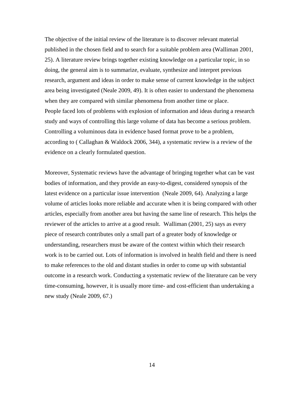The objective of the initial review of the literature is to discover relevant material published in the chosen field and to search for a suitable problem area (Walliman 2001, 25). A literature review brings together existing knowledge on a particular topic, in so doing, the general aim is to summarize, evaluate, synthesize and interpret previous research, argument and ideas in order to make sense of current knowledge in the subject area being investigated (Neale 2009, 49). It is often easier to understand the phenomena when they are compared with similar phenomena from another time or place. People faced lots of problems with explosion of information and ideas during a research study and ways of controlling this large volume of data has become a serious problem. Controlling a voluminous data in evidence based format prove to be a problem, according to ( Callaghan & Waldock 2006, 344), a systematic review is a review of the evidence on a clearly formulated question.

Moreover, Systematic reviews have the advantage of bringing together what can be vast bodies of information, and they provide an easy-to-digest, considered synopsis of the latest evidence on a particular issue intervention (Neale 2009, 64). Analyzing a large volume of articles looks more reliable and accurate when it is being compared with other articles, especially from another area but having the same line of research. This helps the reviewer of the articles to arrive at a good result. Walliman (2001, 25) says as every piece of research contributes only a small part of a greater body of knowledge or understanding, researchers must be aware of the context within which their research work is to be carried out. Lots of information is involved in health field and there is need to make references to the old and distant studies in order to come up with substantial outcome in a research work. Conducting a systematic review of the literature can be very time-consuming, however, it is usually more time- and cost-efficient than undertaking a new study (Neale 2009, 67.)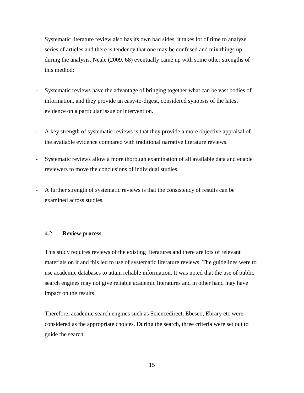Systematic literature review also has its own bad sides, it takes lot of time to analyze series of articles and there is tendency that one may be confused and mix things up during the analysis. Neale (2009, 68) eventually came up with some other strengths of this method:

- Systematic reviews have the advantage of bringing together what can be vast bodies of information, and they provide an easy-to-digest, considered synopsis of the latest evidence on a particular issue or intervention.
- A key strength of systematic reviews is that they provide a more objective appraisal of the available evidence compared with traditional narrative literature reviews.
- Systematic reviews allow a more thorough examination of all available data and enable reviewers to move the conclusions of individual studies.
- A further strength of systematic reviews is that the consistency of results can be examined across studies.

### <span id="page-17-0"></span>4.2 **Review process**

This study requires reviews of the existing literatures and there are lots of relevant materials on it and this led to use of systematic literature reviews. The guidelines were to use academic databases to attain reliable information. It was noted that the use of public search engines may not give reliable academic literatures and in other hand may have impact on the results.

Therefore, academic search engines such as Sciencedirect, Ebesco, Ebrary etc were considered as the appropriate choices. During the search, three criteria were set out to guide the search: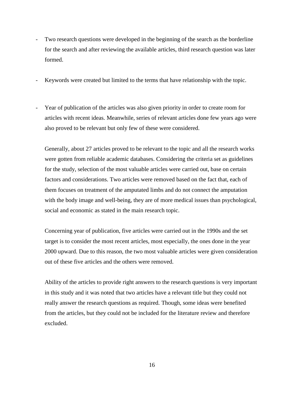- Two research questions were developed in the beginning of the search as the borderline for the search and after reviewing the available articles, third research question was later formed.
- Keywords were created but limited to the terms that have relationship with the topic.
- Year of publication of the articles was also given priority in order to create room for articles with recent ideas. Meanwhile, series of relevant articles done few years ago were also proved to be relevant but only few of these were considered.

Generally, about 27 articles proved to be relevant to the topic and all the research works were gotten from reliable academic databases. Considering the criteria set as guidelines for the study, selection of the most valuable articles were carried out, base on certain factors and considerations. Two articles were removed based on the fact that, each of them focuses on treatment of the amputated limbs and do not connect the amputation with the body image and well-being, they are of more medical issues than psychological, social and economic as stated in the main research topic.

Concerning year of publication, five articles were carried out in the 1990s and the set target is to consider the most recent articles, most especially, the ones done in the year 2000 upward. Due to this reason, the two most valuable articles were given consideration out of these five articles and the others were removed.

Ability of the articles to provide right answers to the research questions is very important in this study and it was noted that two articles have a relevant title but they could not really answer the research questions as required. Though, some ideas were benefited from the articles, but they could not be included for the literature review and therefore excluded.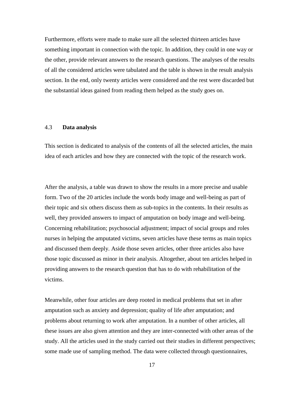Furthermore, efforts were made to make sure all the selected thirteen articles have something important in connection with the topic. In addition, they could in one way or the other, provide relevant answers to the research questions. The analyses of the results of all the considered articles were tabulated and the table is shown in the result analysis section. In the end, only twenty articles were considered and the rest were discarded but the substantial ideas gained from reading them helped as the study goes on.

#### <span id="page-19-0"></span>4.3 **Data analysis**

This section is dedicated to analysis of the contents of all the selected articles, the main idea of each articles and how they are connected with the topic of the research work.

After the analysis, a table was drawn to show the results in a more precise and usable form. Two of the 20 articles include the words body image and well-being as part of their topic and six others discuss them as sub-topics in the contents. In their results as well, they provided answers to impact of amputation on body image and well-being. Concerning rehabilitation; psychosocial adjustment; impact of social groups and roles nurses in helping the amputated victims, seven articles have these terms as main topics and discussed them deeply. Aside those seven articles, other three articles also have those topic discussed as minor in their analysis. Altogether, about ten articles helped in providing answers to the research question that has to do with rehabilitation of the victims.

Meanwhile, other four articles are deep rooted in medical problems that set in after amputation such as anxiety and depression; quality of life after amputation; and problems about returning to work after amputation. In a number of other articles, all these issues are also given attention and they are inter-connected with other areas of the study. All the articles used in the study carried out their studies in different perspectives; some made use of sampling method. The data were collected through questionnaires,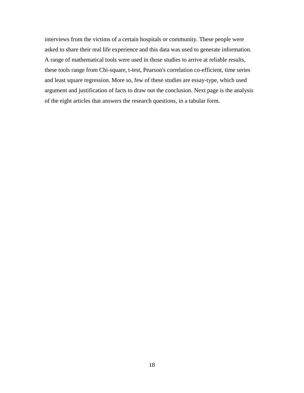interviews from the victims of a certain hospitals or community. These people were asked to share their real life experience and this data was used to generate information. A range of mathematical tools were used in those studies to arrive at reliable results, these tools range from Chi-square, t-test, Pearson's correlation co-efficient, time series and least square regression. More so, few of these studies are essay-type, which used argument and justification of facts to draw out the conclusion. Next page is the analysis of the eight articles that answers the research questions, in a tabular form.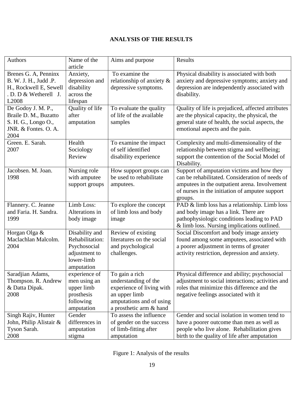# **ANALYSIS OF THE RESULTS**

| Authors                                                                                                   | Name of the<br>article                                                                         | Aims and purpose                                                                                                                            | Results                                                                                                                                                                                                     |
|-----------------------------------------------------------------------------------------------------------|------------------------------------------------------------------------------------------------|---------------------------------------------------------------------------------------------------------------------------------------------|-------------------------------------------------------------------------------------------------------------------------------------------------------------------------------------------------------------|
| Brenes G. A, Penninx<br>B. W. J. H., Judd .P.<br>H., Rockwell E, Sewell<br>. D. D & Wetherell J.<br>L2008 | Anxiety,<br>depression and<br>disability<br>across the<br>lifespan                             | To examine the<br>relationship of anxiety &<br>depressive symptoms.                                                                         | Physical disability is associated with both<br>anxiety and depressive symptoms; anxiety and<br>depression are independently associated with<br>disability.                                                  |
| De Godoy J. M. P.,<br>Braile D. M., Buzatto<br>S. H. G., Longo O.,<br>JNR. & Fontes. O. A.<br>2004        | Quality of life<br>after<br>amputation                                                         | To evaluate the quality<br>of life of the available<br>samples                                                                              | Quality of life is prejudiced, affected attributes<br>are the physical capacity, the physical, the<br>general state of health, the social aspects, the<br>emotional aspects and the pain.                   |
| Green. E. Sarah.<br>2007                                                                                  | Health<br>Sociology<br>Review                                                                  | To examine the impact<br>of self identified<br>disability experience                                                                        | Complexity and multi-dimensionality of the<br>relationship between stigma and wellbeing;<br>support the contention of the Social Model of<br>Disability.                                                    |
| Jacobsen. M. Joan.<br>1998                                                                                | Nursing role<br>with amputee<br>support groups                                                 | How support groups can<br>be used to rehabilitate<br>amputees.                                                                              | Support of amputation victims and how they<br>can be rehabilitated. Consideration of needs of<br>amputees in the outpatient arena. Involvement<br>of nurses in the initiation of amputee support<br>groups. |
| Flannery. C. Jeanne<br>and Faria. H. Sandra.<br>1999                                                      | Limb Loss:<br>Alterations in<br>body image                                                     | To explore the concept<br>of limb loss and body<br>image                                                                                    | PAD & limb loss has a relationship. Limb loss<br>and body image has a link. There are<br>pathophysiologic conditions leading to PAD<br>& limb loss. Nursing implications outlined.                          |
| Horgan Olga &<br>Maclachlan Malcolm.<br>2004                                                              | Disability and<br>Rehabilitation:<br>Psychosocial<br>adjustment to<br>lower-limb<br>amputation | Review of existing<br>literatures on the social<br>and psychological<br>challenges.                                                         | Social Discomfort and body image anxiety<br>found among some amputees, associated with<br>a poorer adjustment in terms of greater<br>activity restriction, depression and anxiety.                          |
| Saradjian Adams,<br>Thompson. R. Andrew<br>& Datta Dipak.<br>2008                                         | experience of<br>men using an<br>upper limb<br>prosthesis<br>following<br>amputation           | To gain a rich<br>understanding of the<br>experience of living with<br>an upper limb<br>amputations and of using<br>a prosthetic arm & hand | Physical difference and ability; psychosocial<br>adjustment to social interactions; activities and<br>roles that minimize this difference and the<br>negative feelings associated with it                   |
| Singh Rajiv, Hunter<br>John, Philip Alistair &<br>Tyson Sarah.<br>2008                                    | Gender<br>differences in<br>amputation<br>stigma                                               | To assess the influence<br>of gender on the success<br>of limb-fitting after<br>amputation                                                  | Gender and social isolation in women tend to<br>have a poorer outcome than men as well as<br>people who live alone. Rehabilitation gives<br>birth to the quality of life after amputation                   |

Figure 1: Analysis of the results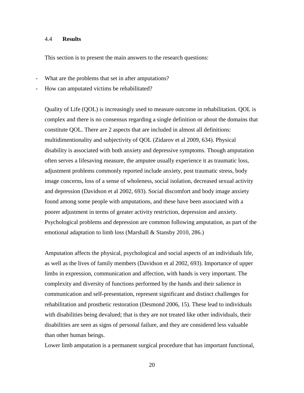#### <span id="page-22-0"></span>4.4 **Results**

This section is to present the main answers to the research questions:

- What are the problems that set in after amputations?
- How can amputated victims be rehabilitated?

Quality of Life (QOL) is increasingly used to measure outcome in rehabilitation. QOL is complex and there is no consensus regarding a single definition or about the domains that constitute QOL. There are 2 aspects that are included in almost all definitions: multidimentionality and subjectivity of QOL (Zidarov et al 2009, 634). Physical disability is associated with both anxiety and depressive symptoms. Though amputation often serves a lifesaving measure, the amputee usually experience it as traumatic loss, adjustment problems commonly reported include anxiety, post traumatic stress, body image concerns, loss of a sense of wholeness, social isolation, decreased sexual activity and depression (Davidson et al 2002, 693). Social discomfort and body image anxiety found among some people with amputations, and these have been associated with a poorer adjustment in terms of greater activity restriction, depression and anxiety. Psychological problems and depression are common following amputation, as part of the emotional adaptation to limb loss (Marshall & Stansby 2010, 286.)

Amputation affects the physical, psychological and social aspects of an individuals life, as well as the lives of family members (Davidson et al 2002, 693). Importance of upper limbs in expression, communication and affection, with hands is very important. The complexity and diversity of functions performed by the hands and their salience in communication and self-presentation, represent significant and distinct challenges for rehabilitation and prosthetic restoration (Desmond 2006, 15). These lead to individuals with disabilities being devalued; that is they are not treated like other individuals, their disabilities are seen as signs of personal failure, and they are considered less valuable than other human beings.

Lower limb amputation is a permanent surgical procedure that has important functional,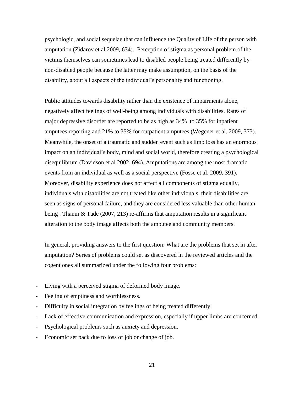psychologic, and social sequelae that can influence the Quality of Life of the person with amputation (Zidarov et al 2009, 634). Perception of stigma as personal problem of the victims themselves can sometimes lead to disabled people being treated differently by non-disabled people because the latter may make assumption, on the basis of the disability, about all aspects of the individual's personality and functioning.

Public attitudes towards disability rather than the existence of impairments alone, negatively affect feelings of well-being among individuals with disabilities. Rates of major depressive disorder are reported to be as high as 34% to 35% for inpatient amputees reporting and 21% to 35% for outpatient amputees (Wegener et al. 2009, 373). Meanwhile, the onset of a traumatic and sudden event such as limb loss has an enormous impact on an individual's body, mind and social world, therefore creating a psychological disequilibrum (Davidson et al 2002, 694). Amputations are among the most dramatic events from an individual as well as a social perspective (Fosse et al. 2009, 391). Moreover, disability experience does not affect all components of stigma equally, individuals with disabilities are not treated like other individuals, their disabilities are seen as signs of personal failure, and they are considered less valuable than other human being . Thanni & Tade (2007, 213) re-affirms that amputation results in a significant alteration to the body image affects both the amputee and community members.

In general, providing answers to the first question: What are the problems that set in after amputation? Series of problems could set as discovered in the reviewed articles and the cogent ones all summarized under the following four problems:

- Living with a perceived stigma of deformed body image.
- Feeling of emptiness and worthlessness.
- Difficulty in social integration by feelings of being treated differently.
- Lack of effective communication and expression, especially if upper limbs are concerned.
- Psychological problems such as anxiety and depression.
- Economic set back due to loss of job or change of job.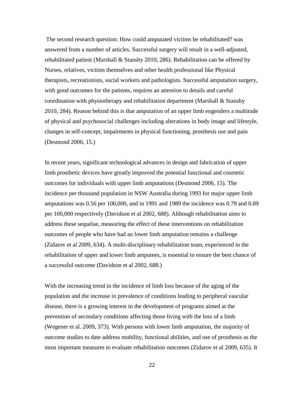The second research question: How could amputated victims be rehabilitated? was answered from a number of articles. Successful surgery will result in a well-adjusted, rehabilitated patient (Marshall & Stansby 2010, 286). Rehabilitation can be offered by Nurses, relatives, victims themselves and other health professional like Physical therapists, recreationists, social workers and pathologists. Successful amputation surgery, with good outcomes for the patients, requires an attention to details and careful coordination with physiotherapy and rehabilitation department (Marshall & Stansby 2010, 284). Reason behind this is that amputation of an upper limb engenders a multitude of physical and psychosocial challenges including alterations in body image and lifestyle, changes in self-concept, impairments in physical functioning, prosthesis use and pain (Desmond 2006, 15.)

In recent years, significant technological advances in design and fabrication of upper limb prosthetic devices have greatly improved the potential functional and cosmetic outcomes for individuals with upper limb amputations (Desmond 2006, 15). The incidence per thousand population in NSW Australia during 1993 for major upper limb amputations was 0.56 per 100,000, and in 1991 and 1989 the incidence was 0.79 and 0.89 per 100,000 respectively (Davidson et al 2002, 688). Although rehabilitation aims to address these sequelae, measuring the effect of these interventions on rehabilitation outcomes of people who have had an lower limb amputation remains a challenge (Zidarov et al 2009, 634). A multi-disciplinary rehabilitation team, experienced in the rehabilitation of upper and lower limb amputees, is essential to ensure the best chance of a successful outcome (Davidson et al 2002, 688.)

With the increasing trend in the incidence of limb loss because of the aging of the population and the increase in prevalence of conditions leading to peripheral vascular disease, there is a growing interest in the development of programs aimed at the prevention of secondary conditions affecting those living with the loss of a limb (Wegener et al. 2009, 373). With persons with lower limb amputation, the majority of outcome studies to date address mobility, functional abilities, and use of prosthesis as the most important measures to evaluate rehabilitation outcomes (Zidarov et al 2009, 635). It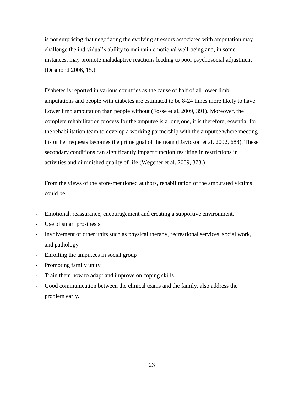is not surprising that negotiating the evolving stressors associated with amputation may challenge the individual's ability to maintain emotional well-being and, in some instances, may promote maladaptive reactions leading to poor psychosocial adjustment (Desmond 2006, 15.)

Diabetes is reported in various countries as the cause of half of all lower limb amputations and people with diabetes are estimated to be 8-24 times more likely to have Lower limb amputation than people without (Fosse et al. 2009, 391). Moreover, the complete rehabilitation process for the amputee is a long one, it is therefore, essential for the rehabilitation team to develop a working partnership with the amputee where meeting his or her requests becomes the prime goal of the team (Davidson et al. 2002, 688). These secondary conditions can significantly impact function resulting in restrictions in activities and diminished quality of life (Wegener et al. 2009, 373.)

From the views of the afore-mentioned authors, rehabilitation of the amputated victims could be:

- Emotional, reassurance, encouragement and creating a supportive environment.
- Use of smart prosthesis
- Involvement of other units such as physical therapy, recreational services, social work, and pathology
- Enrolling the amputees in social group
- Promoting family unity
- Train them how to adapt and improve on coping skills
- Good communication between the clinical teams and the family, also address the problem early.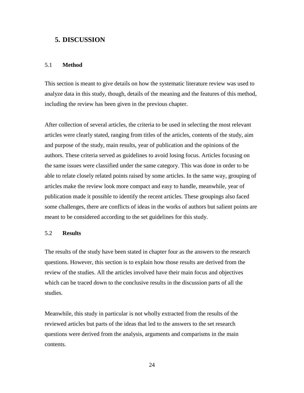# <span id="page-26-0"></span>**5. DISCUSSION**

#### <span id="page-26-1"></span>5.1 **Method**

This section is meant to give details on how the systematic literature review was used to analyze data in this study, though, details of the meaning and the features of this method, including the review has been given in the previous chapter.

After collection of several articles, the criteria to be used in selecting the most relevant articles were clearly stated, ranging from titles of the articles, contents of the study, aim and purpose of the study, main results, year of publication and the opinions of the authors. These criteria served as guidelines to avoid losing focus. Articles focusing on the same issues were classified under the same category. This was done in order to be able to relate closely related points raised by some articles. In the same way, grouping of articles make the review look more compact and easy to handle, meanwhile, year of publication made it possible to identify the recent articles. These groupings also faced some challenges, there are conflicts of ideas in the works of authors but salient points are meant to be considered according to the set guidelines for this study.

#### <span id="page-26-2"></span>5.2 **Results**

The results of the study have been stated in chapter four as the answers to the research questions. However, this section is to explain how those results are derived from the review of the studies. All the articles involved have their main focus and objectives which can be traced down to the conclusive results in the discussion parts of all the studies.

Meanwhile, this study in particular is not wholly extracted from the results of the reviewed articles but parts of the ideas that led to the answers to the set research questions were derived from the analysis, arguments and comparisms in the main contents.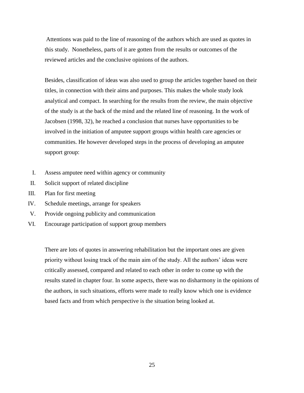Attentions was paid to the line of reasoning of the authors which are used as quotes in this study. Nonetheless, parts of it are gotten from the results or outcomes of the reviewed articles and the conclusive opinions of the authors.

Besides, classification of ideas was also used to group the articles together based on their titles, in connection with their aims and purposes. This makes the whole study look analytical and compact. In searching for the results from the review, the main objective of the study is at the back of the mind and the related line of reasoning. In the work of Jacobsen (1998, 32), he reached a conclusion that nurses have opportunities to be involved in the initiation of amputee support groups within health care agencies or communities. He however developed steps in the process of developing an amputee support group:

- I. Assess amputee need within agency or community
- II. Solicit support of related discipline
- III. Plan for first meeting
- IV. Schedule meetings, arrange for speakers
- V. Provide ongoing publicity and communication
- VI. Encourage participation of support group members

There are lots of quotes in answering rehabilitation but the important ones are given priority without losing track of the main aim of the study. All the authors' ideas were critically assessed, compared and related to each other in order to come up with the results stated in chapter four. In some aspects, there was no disharmony in the opinions of the authors, in such situations, efforts were made to really know which one is evidence based facts and from which perspective is the situation being looked at.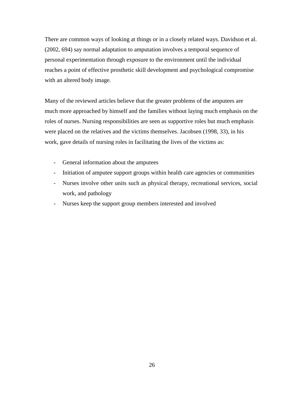There are common ways of looking at things or in a closely related ways. Davidson et al. (2002, 694) say normal adaptation to amputation involves a temporal sequence of personal experimentation through exposure to the environment until the individual reaches a point of effective prosthetic skill development and psychological compromise with an altered body image.

Many of the reviewed articles believe that the greater problems of the amputees are much more approached by himself and the families without laying much emphasis on the roles of nurses. Nursing responsibilities are seen as supportive roles but much emphasis were placed on the relatives and the victims themselves. Jacobsen (1998, 33), in his work, gave details of nursing roles in facilitating the lives of the victims as:

- General information about the amputees
- Initiation of amputee support groups within health care agencies or communities
- Nurses involve other units such as physical therapy, recreational services, social work, and pathology
- Nurses keep the support group members interested and involved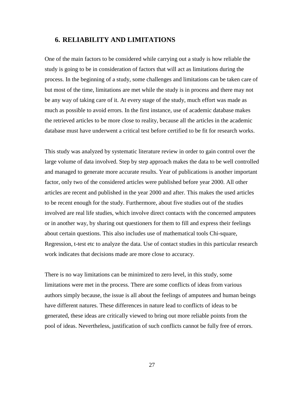# <span id="page-29-0"></span>**6. RELIABILITY AND LIMITATIONS**

One of the main factors to be considered while carrying out a study is how reliable the study is going to be in consideration of factors that will act as limitations during the process. In the beginning of a study, some challenges and limitations can be taken care of but most of the time, limitations are met while the study is in process and there may not be any way of taking care of it. At every stage of the study, much effort was made as much as possible to avoid errors. In the first instance, use of academic database makes the retrieved articles to be more close to reality, because all the articles in the academic database must have underwent a critical test before certified to be fit for research works.

This study was analyzed by systematic literature review in order to gain control over the large volume of data involved. Step by step approach makes the data to be well controlled and managed to generate more accurate results. Year of publications is another important factor, only two of the considered articles were published before year 2000. All other articles are recent and published in the year 2000 and after. This makes the used articles to be recent enough for the study. Furthermore, about five studies out of the studies involved are real life studies, which involve direct contacts with the concerned amputees or in another way, by sharing out questioners for them to fill and express their feelings about certain questions. This also includes use of mathematical tools Chi-square, Regression, t-test etc to analyze the data. Use of contact studies in this particular research work indicates that decisions made are more close to accuracy.

There is no way limitations can be minimized to zero level, in this study, some limitations were met in the process. There are some conflicts of ideas from various authors simply because, the issue is all about the feelings of amputees and human beings have different natures. These differences in nature lead to conflicts of ideas to be generated, these ideas are critically viewed to bring out more reliable points from the pool of ideas. Nevertheless, justification of such conflicts cannot be fully free of errors.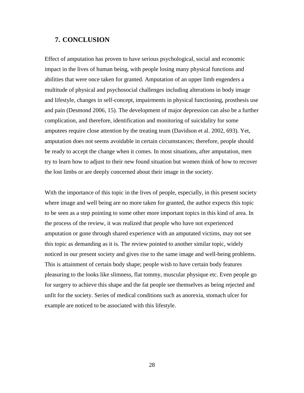### <span id="page-30-0"></span>**7. CONCLUSION**

Effect of amputation has proven to have serious psychological, social and economic impact in the lives of human being, with people losing many physical functions and abilities that were once taken for granted. Amputation of an upper limb engenders a multitude of physical and psychosocial challenges including alterations in body image and lifestyle, changes in self-concept, impairments in physical functioning, prosthesis use and pain (Desmond 2006, 15). The development of major depression can also be a further complication, and therefore, identification and monitoring of suicidality for some amputees require close attention by the treating team (Davidson et al. 2002, 693). Yet, amputation does not seems avoidable in certain circumstances; therefore, people should be ready to accept the change when it comes. In most situations, after amputation, men try to learn how to adjust to their new found situation but women think of how to recover the lost limbs or are deeply concerned about their image in the society.

With the importance of this topic in the lives of people, especially, in this present society where image and well being are no more taken for granted, the author expects this topic to be seen as a step pointing to some other more important topics in this kind of area. In the process of the review, it was realized that people who have not experienced amputation or gone through shared experience with an amputated victims, may not see this topic as demanding as it is. The review pointed to another similar topic, widely noticed in our present society and gives rise to the same image and well-being problems. This is attainment of certain body shape; people wish to have certain body features pleasuring to the looks like slimness, flat tommy, muscular physique etc. Even people go for surgery to achieve this shape and the fat people see themselves as being rejected and unfit for the society. Series of medical conditions such as anorexia, stomach ulcer for example are noticed to be associated with this lifestyle.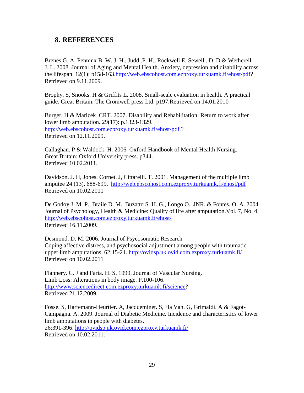# <span id="page-31-0"></span>**8. REFFERENCES**

Brenes G. A, Penninx B. W. J. H., Judd .P. H., Rockwell E, Sewell . D. D & Wetherell J. L. 2008. Journal of Aging and Mental Health. Anxiety, depression and disability across the lifespan. 12(1): p158-163[.http://web.ebscohost.com.ezproxy.turkuamk.fi/ehost/pdf?](http://web.ebscohost.com.ezproxy.turkuamk.fi/ehost/pdf) Retrieved on 9.11.2009.

Brophy. S, Snooks. H & Griffits L. 2008. Small-scale evaluation in health. A practical guide. Great Britain: The Cromwell press Ltd. p197.Retrieved on 14.01.2010

Burger. H & Maricek CRT. 2007. Disability and Rehabilitation: Return to work after lower limb amputation. 29(17): p.1323-1329. <http://web.ebscohost.com.ezproxy.turkuamk.fi/ehost/pdf> ? Retrieved on 12.11.2009.

Callaghan. P & Waldock. H. 2006. Oxford Handbook of Mental Health Nursing. Great Britain: Oxford University press. p344. Retrieved 10.02.2011.

Davidson. J. H, Jones. Cornet. J, Cittarelli. T. 2001. Management of the multiple limb amputee 24 (13), 688-699. <http://web.ebscohost.com.ezproxy.turkuamk.fi/ehost/pdf> Retrieved on 10.02.2011

De Godoy J. M. P., Braile D. M., Buzatto S. H. G., Longo O., JNR. & Fontes. O. A. 2004 Journal of Psychology, Health & Medicine: Quality of life after amputation.Vol. 7, No. 4. <http://web.ebscohost.com.ezproxy.turkuamk.fi/ehost/> Retrieved 16.11.2009.

Desmond. D. M. 2006. Journal of Psycosomatic Research Coping affective distress, and psychosocial adjustment among people with traumatic upper limb amputations. 62:15-21.<http://ovidsp.uk.ovid.com.ezproxy.turkuamk.fi/> Retrieved on 10.02.2011

Flannery. C. J and Faria. H. S. 1999. Journal of Vascular Nursing. Limb Loss: Alterations in body image. P.100-106. [http://www.sciencedirect.com.ezproxy.turkuamk.fi/science?](http://www.sciencedirect.com.ezproxy.turkuamk.fi/science) Retrieved 21.12.2009.

Fosse. S, Hartemann-Heurtier. A, Jacqueminet. S, Ha Van. G, Grimaldi. A & Fagot-Campagna. A. 2009. Journal of Diabetic Medicine. Incidence and characteristics of lower limb amputations in people with diabetes.

26:391-396.<http://ovidsp.uk.ovid.com.ezproxy.turkuamk.fi/> Retrieved on 10.02.2011.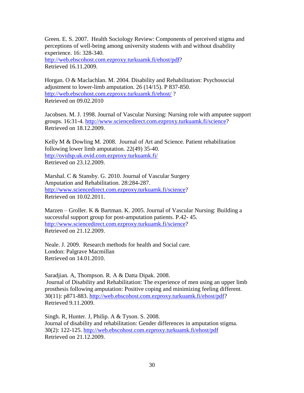Green. E. S. 2007. Health Sociology Review: Components of perceived stigma and perceptions of well-being among university students with and without disability experience. 16: 328-340.

[http://web.ebscohost.com.ezproxy.turkuamk.fi/ehost/pdf?](http://web.ebscohost.com.ezproxy.turkuamk.fi/ehost/pdf) Retrieved 16.11.2009.

Horgan. O & Maclachlan. M. 2004. Disability and Rehabilitation: Psychosocial adjustment to lower-limb amputation. 26 (14/15). P 837-850. <http://web.ebscohost.com.ezproxy.turkuamk.fi/ehost/> ? Retrieved on 09.02.2010

Jacobsen. M. J. 1998. Journal of Vascular Nursing: Nursing role with amputee support groups. 16:31-4. [http://www.sciencedirect.com.ezproxy.turkuamk.fi/science?](http://www.sciencedirect.com.ezproxy.turkuamk.fi/science) Retrieved on 18.12.2009.

Kelly M & Dowling M. 2008. Journal of Art and Science. Patient rehabilitation following lower limb amputation. 22(49) 35-40. <http://ovidsp.uk.ovid.com.ezproxy.turkuamk.fi/> Retrieved on 23.12.2009.

Marshal. C & Stansby. G. 2010. Journal of Vascular Surgery Amputation and Rehabilitation. 28:284-287. [http://www.sciencedirect.com.ezproxy.turkuamk.fi/science?](http://www.sciencedirect.com.ezproxy.turkuamk.fi/science) Retrieved on 10.02.2011.

Marzen – Groller. K & Bartman. K. 2005. Journal of Vascular Nursing: Building a successful support group for post-amputation patients. P.42- 45. [http://www.sciencedirect.com.ezproxy.turkuamk.fi/science?](http://www.sciencedirect.com.ezproxy.turkuamk.fi/science) Retrieved on 21.12.2009.

Neale. J. 2009. Research methods for health and Social care. London: Palgrave Macmillan Retrieved on 14.01.2010.

Saradjian. A, Thompson. R. A & Datta Dipak. 2008. Journal of Disability and Rehabilitation: The experience of men using an upper limb prosthesis following amputation: Positive coping and minimizing feeling different. 30(11): p871-883. [http://web.ebscohost.com.ezproxy.turkuamk.fi/ehost/pdf?](http://web.ebscohost.com.ezproxy.turkuamk.fi/ehost/pdf) Retrieved 9.11.2009.

Singh. R, Hunter. J, Philip. A & Tyson. S. 2008. Journal of disability and rehabilitation: Gender differences in amputation stigma. 30(2): 122-125.<http://web.ebscohost.com.ezproxy.turkuamk.fi/ehost/pdf> Retrieved on 21.12.2009.